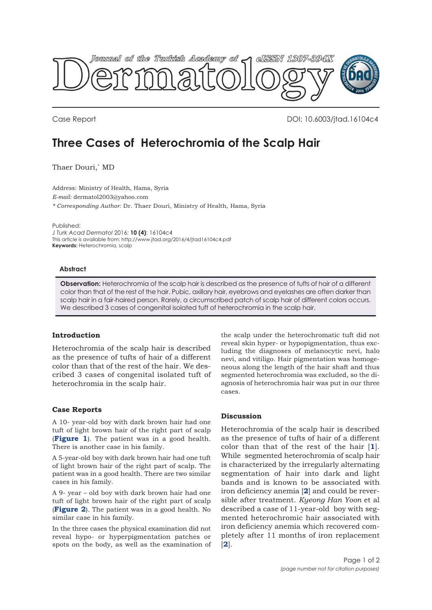

Case Report DOI: 10.6003/jtad.16104c4

# **Three Cases of Heterochromia of the Scalp Hair**

Thaer Douri,\* MD

Address: Ministry of Health, Hama, Syria *E-mail:* dermatol2003@yahoo.com *\* Corresponding Author:* Dr. Thaer Douri, Ministry of Health, Hama, Syria

Published:

*J Turk Acad Dermatol* 2016; **10 (4)**: 16104c4 This article is available from: http://www.jtad.org/2016/4/jtad16104c4.pdf **Keywords:** Heterochromia, scalp

## **Abstract**

**Observation:** Heterochromia of the scalp hair is described as the presence of tufts of hair of a different color than that of the rest of the hair. Pubic, axillary hair, eyebrows and eyelashes are often darker than scalp hair in a fair-haired person. Rarely, a circumscribed patch of scalp hair of different colors occurs. We described 3 cases of congenital isolated tuft of heterochromia in the scalp hair.

## **Introduction**

Heterochromia of the scalp hair is described as the presence of tufts of hair of a different color than that of the rest of the hair. We described 3 cases of congenital isolated tuft of heterochromia in the scalp hair.

#### **Case Reports**

A 10- year-old boy with dark brown hair had one tuft of light brown hair of the right part of scalp (**[Figure 1](#page-1-0)**). The patient was in a good health. There is another case in his family.

A 5-year-old boy with dark brown hair had one tuft of light brown hair of the right part of scalp. The patient was in a good health. There are two similar cases in his family.

A 9- year – old boy with dark brown hair had one tuft of light brown hair of the right part of scalp (**[Figure 2](#page-1-0)**). The patient was in a good health. No similar case in his family.

In the three cases the physical examination did not reveal hypo- or hyperpigmentation patches or spots on the body, as well as the examination of

the scalp under the heterochromatic tuft did not reveal skin hyper- or hypopigmentation, thus excluding the diagnoses of melanocytic nevi, halo nevi, and vitiligo. Hair pigmentation was homogeneous along the length of the hair shaft and thus segmented heterochromia was excluded, so the diagnosis of heterochromia hair was put in our three cases.

## **Discussion**

Heterochromia of the scalp hair is described as the presence of tufts of hair of a different color than that of the rest of the hair [**[1](#page-1-0)**]. While segmented heterochromia of scalp hair is characterized by the irregularly alternating segmentation of hair into dark and light bands and is known to be associated with iron deficiency anemia [**[2](#page-1-0)**] and could be reversible after treatment. *Kyeong Han Yoon* et al described a case of 11-year-old boy with segmented heterochromic hair associated with iron deficiency anemia which recovered completely after 11 months of iron replacement [**[2](#page-1-0)**].